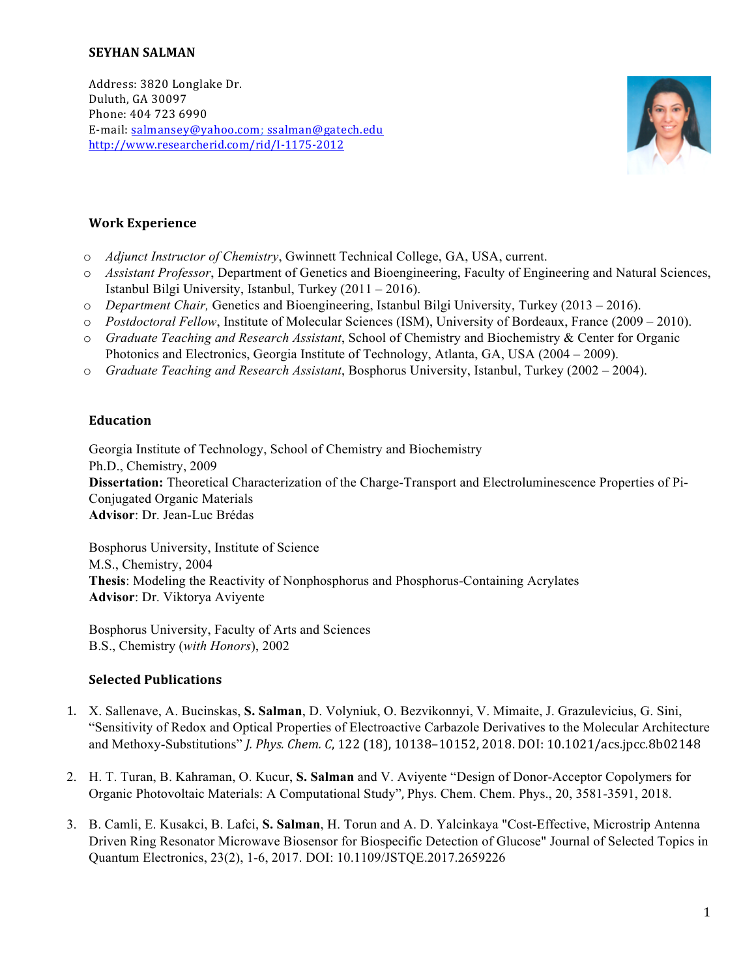### **SEYHAN SALMAN**

Address: 3820 Longlake Dr. Duluth, GA 30097 Phone: 404 723 6990 E-mail: salmansey@yahoo.com; ssalman@gatech.edu http://www.researcherid.com/rid/I-1175-2012



# **Work Experience**

- o *Adjunct Instructor of Chemistry*, Gwinnett Technical College, GA, USA, current.
- Assistant Professor, Department of Genetics and Bioengineering, Faculty of Engineering and Natural Sciences, Istanbul Bilgi University, Istanbul, Turkey (2011 – 2016).
- o *Department Chair,* Genetics and Bioengineering, Istanbul Bilgi University, Turkey (2013 2016).
- o *Postdoctoral Fellow*, Institute of Molecular Sciences (ISM), University of Bordeaux, France (2009 2010).
- o *Graduate Teaching and Research Assistant*, School of Chemistry and Biochemistry & Center for Organic Photonics and Electronics, Georgia Institute of Technology, Atlanta, GA, USA (2004 – 2009).
- o *Graduate Teaching and Research Assistant*, Bosphorus University, Istanbul, Turkey (2002 2004).

#### **Education**

Georgia Institute of Technology, School of Chemistry and Biochemistry Ph.D., Chemistry, 2009 **Dissertation:** Theoretical Characterization of the Charge-Transport and Electroluminescence Properties of Pi-Conjugated Organic Materials **Advisor**: Dr. Jean-Luc Brédas

Bosphorus University, Institute of Science M.S., Chemistry, 2004 **Thesis**: Modeling the Reactivity of Nonphosphorus and Phosphorus-Containing Acrylates **Advisor**: Dr. Viktorya Aviyente

Bosphorus University, Faculty of Arts and Sciences B.S., Chemistry (*with Honors*), 2002

# **Selected Publications**

- 1. X. Sallenave, A. Bucinskas, **S. Salman**, D. Volyniuk, O. Bezvikonnyi, V. Mimaite, J. Grazulevicius, G. Sini, "Sensitivity of Redox and Optical Properties of Electroactive Carbazole Derivatives to the Molecular Architecture and Methoxy-Substitutions" *J. Phys. Chem. C*, 122 (18), 10138–10152, 2018. DOI: 10.1021/acs.jpcc.8b02148
- 2. H. T. Turan, B. Kahraman, O. Kucur, **S. Salman** and V. Aviyente "Design of Donor-Acceptor Copolymers for Organic Photovoltaic Materials: A Computational Study", Phys. Chem. Chem. Phys., 20, 3581-3591, 2018.
- 3. B. Camli, E. Kusakci, B. Lafci, **S. Salman**, H. Torun and A. D. Yalcinkaya "Cost-Effective, Microstrip Antenna Driven Ring Resonator Microwave Biosensor for Biospecific Detection of Glucose" Journal of Selected Topics in Quantum Electronics, 23(2), 1-6, 2017. DOI: 10.1109/JSTQE.2017.2659226